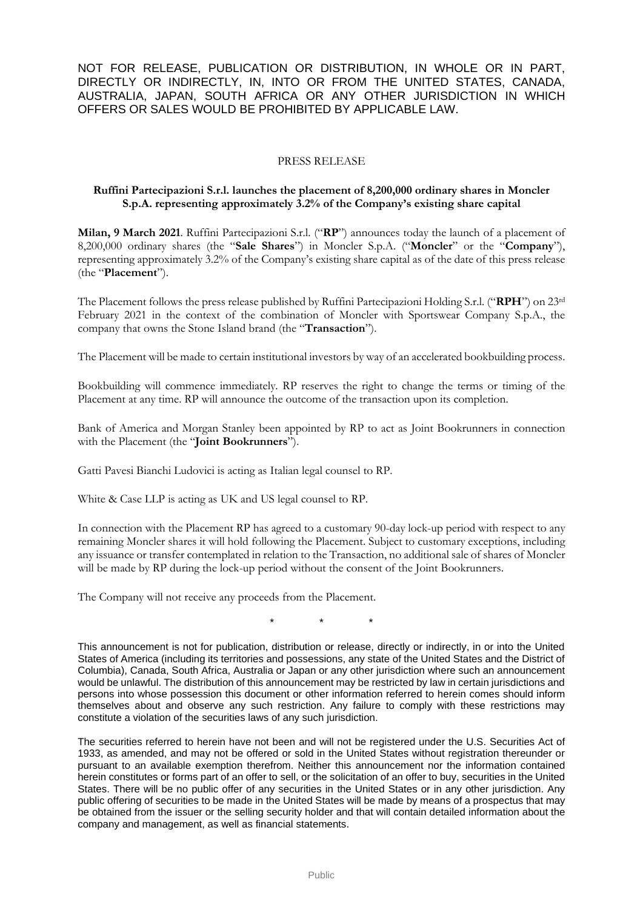NOT FOR RELEASE, PUBLICATION OR DISTRIBUTION, IN WHOLE OR IN PART, DIRECTLY OR INDIRECTLY, IN, INTO OR FROM THE UNITED STATES, CANADA, AUSTRALIA, JAPAN, SOUTH AFRICA OR ANY OTHER JURISDICTION IN WHICH OFFERS OR SALES WOULD BE PROHIBITED BY APPLICABLE LAW.

## PRESS RELEASE

## **Ruffini Partecipazioni S.r.l. launches the placement of 8,200,000 ordinary shares in Moncler S.p.A. representing approximately 3.2% of the Company's existing share capital**

**Milan, 9 March 2021**. Ruffini Partecipazioni S.r.l. ("**RP**") announces today the launch of a placement of 8,200,000 ordinary shares (the "**Sale Shares**") in Moncler S.p.A. ("**Moncler**" or the "**Company**"), representing approximately 3.2% of the Company's existing share capital as of the date of this press release (the "**Placement**").

The Placement follows the press release published by Ruffini Partecipazioni Holding S.r.l. ("**RPH**") on 23rd February 2021 in the context of the combination of Moncler with Sportswear Company S.p.A., the company that owns the Stone Island brand (the "**Transaction**").

The Placement will be made to certain institutional investors by way of an accelerated bookbuilding process.

Bookbuilding will commence immediately. RP reserves the right to change the terms or timing of the Placement at any time. RP will announce the outcome of the transaction upon its completion.

Bank of America and Morgan Stanley been appointed by RP to act as Joint Bookrunners in connection with the Placement (the "**Joint Bookrunners**").

Gatti Pavesi Bianchi Ludovici is acting as Italian legal counsel to RP.

White & Case LLP is acting as UK and US legal counsel to RP.

In connection with the Placement RP has agreed to a customary 90-day lock-up period with respect to any remaining Moncler shares it will hold following the Placement. Subject to customary exceptions, including any issuance or transfer contemplated in relation to the Transaction, no additional sale of shares of Moncler will be made by RP during the lock-up period without the consent of the Joint Bookrunners.

The Company will not receive any proceeds from the Placement.

\* \* \*

This announcement is not for publication, distribution or release, directly or indirectly, in or into the United States of America (including its territories and possessions, any state of the United States and the District of Columbia), Canada, South Africa, Australia or Japan or any other jurisdiction where such an announcement would be unlawful. The distribution of this announcement may be restricted by law in certain jurisdictions and persons into whose possession this document or other information referred to herein comes should inform themselves about and observe any such restriction. Any failure to comply with these restrictions may constitute a violation of the securities laws of any such jurisdiction.

The securities referred to herein have not been and will not be registered under the U.S. Securities Act of 1933, as amended, and may not be offered or sold in the United States without registration thereunder or pursuant to an available exemption therefrom. Neither this announcement nor the information contained herein constitutes or forms part of an offer to sell, or the solicitation of an offer to buy, securities in the United States. There will be no public offer of any securities in the United States or in any other jurisdiction. Any public offering of securities to be made in the United States will be made by means of a prospectus that may be obtained from the issuer or the selling security holder and that will contain detailed information about the company and management, as well as financial statements.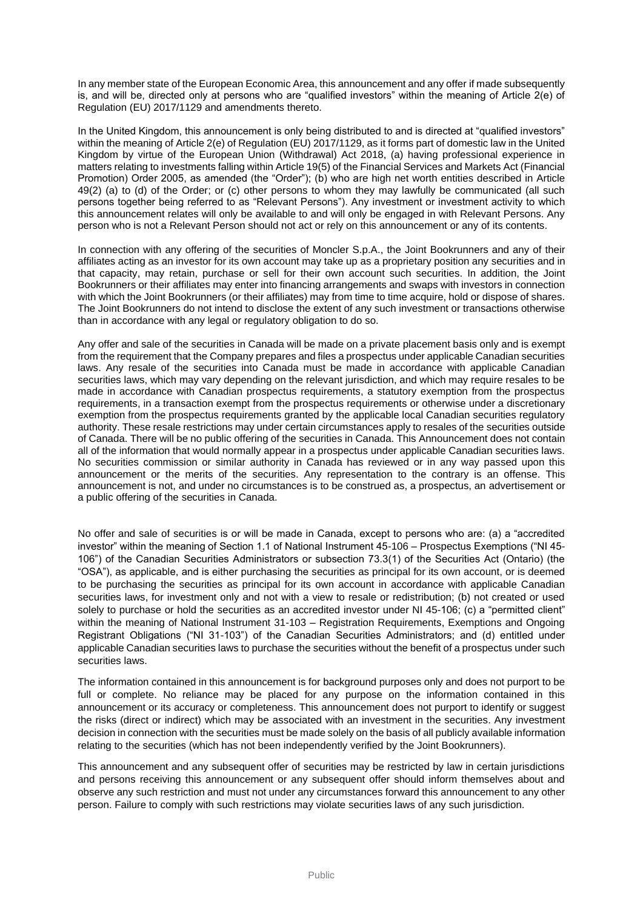In any member state of the European Economic Area, this announcement and any offer if made subsequently is, and will be, directed only at persons who are "qualified investors" within the meaning of Article 2(e) of Regulation (EU) 2017/1129 and amendments thereto.

In the United Kingdom, this announcement is only being distributed to and is directed at "qualified investors" within the meaning of Article 2(e) of Regulation (EU) 2017/1129, as it forms part of domestic law in the United Kingdom by virtue of the European Union (Withdrawal) Act 2018, (a) having professional experience in matters relating to investments falling within Article 19(5) of the Financial Services and Markets Act (Financial Promotion) Order 2005, as amended (the "Order"); (b) who are high net worth entities described in Article 49(2) (a) to (d) of the Order; or (c) other persons to whom they may lawfully be communicated (all such persons together being referred to as "Relevant Persons"). Any investment or investment activity to which this announcement relates will only be available to and will only be engaged in with Relevant Persons. Any person who is not a Relevant Person should not act or rely on this announcement or any of its contents.

In connection with any offering of the securities of Moncler S.p.A., the Joint Bookrunners and any of their affiliates acting as an investor for its own account may take up as a proprietary position any securities and in that capacity, may retain, purchase or sell for their own account such securities. In addition, the Joint Bookrunners or their affiliates may enter into financing arrangements and swaps with investors in connection with which the Joint Bookrunners (or their affiliates) may from time to time acquire, hold or dispose of shares. The Joint Bookrunners do not intend to disclose the extent of any such investment or transactions otherwise than in accordance with any legal or regulatory obligation to do so.

Any offer and sale of the securities in Canada will be made on a private placement basis only and is exempt from the requirement that the Company prepares and files a prospectus under applicable Canadian securities laws. Any resale of the securities into Canada must be made in accordance with applicable Canadian securities laws, which may vary depending on the relevant jurisdiction, and which may require resales to be made in accordance with Canadian prospectus requirements, a statutory exemption from the prospectus requirements, in a transaction exempt from the prospectus requirements or otherwise under a discretionary exemption from the prospectus requirements granted by the applicable local Canadian securities regulatory authority. These resale restrictions may under certain circumstances apply to resales of the securities outside of Canada. There will be no public offering of the securities in Canada. This Announcement does not contain all of the information that would normally appear in a prospectus under applicable Canadian securities laws. No securities commission or similar authority in Canada has reviewed or in any way passed upon this announcement or the merits of the securities. Any representation to the contrary is an offense. This announcement is not, and under no circumstances is to be construed as, a prospectus, an advertisement or a public offering of the securities in Canada.

No offer and sale of securities is or will be made in Canada, except to persons who are: (a) a "accredited investor" within the meaning of Section 1.1 of National Instrument 45-106 – Prospectus Exemptions ("NI 45- 106") of the Canadian Securities Administrators or subsection 73.3(1) of the Securities Act (Ontario) (the "OSA"), as applicable, and is either purchasing the securities as principal for its own account, or is deemed to be purchasing the securities as principal for its own account in accordance with applicable Canadian securities laws, for investment only and not with a view to resale or redistribution; (b) not created or used solely to purchase or hold the securities as an accredited investor under NI 45-106; (c) a "permitted client" within the meaning of National Instrument 31-103 – Registration Requirements, Exemptions and Ongoing Registrant Obligations ("NI 31-103") of the Canadian Securities Administrators; and (d) entitled under applicable Canadian securities laws to purchase the securities without the benefit of a prospectus under such securities laws.

The information contained in this announcement is for background purposes only and does not purport to be full or complete. No reliance may be placed for any purpose on the information contained in this announcement or its accuracy or completeness. This announcement does not purport to identify or suggest the risks (direct or indirect) which may be associated with an investment in the securities. Any investment decision in connection with the securities must be made solely on the basis of all publicly available information relating to the securities (which has not been independently verified by the Joint Bookrunners).

This announcement and any subsequent offer of securities may be restricted by law in certain jurisdictions and persons receiving this announcement or any subsequent offer should inform themselves about and observe any such restriction and must not under any circumstances forward this announcement to any other person. Failure to comply with such restrictions may violate securities laws of any such jurisdiction.